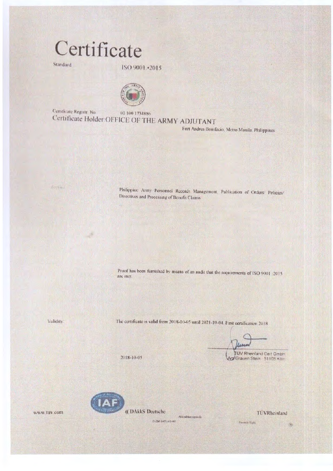## Certificate

Standard

ISO 9001 -2015



Certificate Registr No. 01:100:1734886 Certificate Holder OFFICE OF THE ARMY ADJUTANT

Fort Andres Bomfacio, Metro Manifa, Philippines

An Year

Philippine Army Personnel Records Management, Publication of Orders/ Policies/ Directives and Processing of Benefit Claims

Proof has been furnished by means of an audit that the requirements of ISO 9001 (2015) are met

Validity

The certificate is valid from 2018-10-05 until 2021-10-04. First certification 2018

Fennsy Right

TUV Rheinland Cert GmbH Art Grauen Stein 51105 Köln.

2018-10-05



www.tuv.com

Ai kod the servicely EVEN DATE AT 285

**IT VRhemland**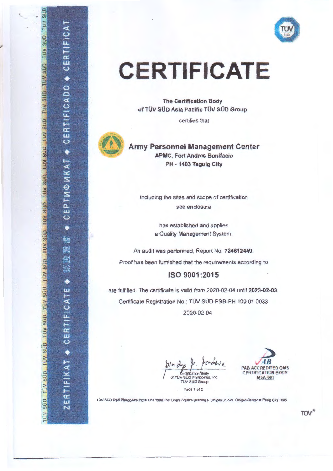

## **CERTIFICATE**

**The Certification Body** of TÜV SÜD Asia Pacific TÜV SÜD Group

certifies that



## **Army Personnel Management Center APMC, Fort Andres Bonifacio** PH - 1403 Taguig City

including the sites and scope of certification see enclosure

> has established and applies a Quality Management System.

An audit was performed, Report No. 724612440. Proof has been furnished that the requirements according to

ISO 9001:2015

are fulfilled. The certificate is valid from 2020-02-04 until 2023-02-03. Certificate Registration No.: TÜV SÜD PSB-PH 100 01 0033 2020-02-04

Certification Body V SÚD Philippines, Inc. **TÚV SÚD Group** 



TÜV SÜD PSB Philippines Inc @ Unit 1808 The Orient Square Building F. Ortigas Jr. Ave. Ortigas Center @ Pasig City 1605

Page 1 of 2

OOS ANT QUE ANT QUE ANT QUE ANT QUE ANT QUE ANT QUE ANT QUE ANT QUE ANT QUE ANT QUE ANT QUE ANT QUE ANT QUE ANT

FICAT

CERTI

 $\bullet$ 

CADO

 $\overline{\overline{\mathbf{u}}}$ 

CERTI

٠

РТИФИКАТ

 $\overline{\mathbf{u}}$  $\ddot{\mathbf{c}}$ 

٠

M) 綿

XD.

R)<br>Mà

۰

**LE**<br>CATE

**CERTIFI** 

FIKAT +

ERTIF

 $\overline{\mathbf{N}}$ 

 $TUV$ <sup>8</sup>